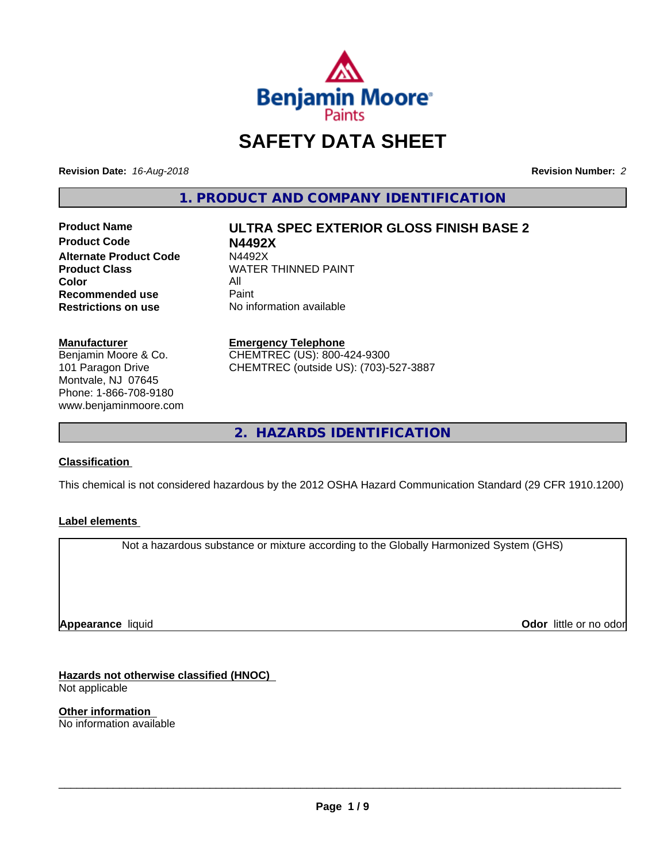

# **SAFETY DATA SHEET**

**Revision Date:** *16-Aug-2018* **Revision Number:** *2*

**1. PRODUCT AND COMPANY IDENTIFICATION**

**Product Code N4492X Alternate Product Code M4492X<br>Product Class NATER Color** All All<br>**Recommended use** Paint **Recommended use**<br>Restrictions on use

**Product Name ULTRA SPEC EXTERIOR GLOSS FINISH BASE 2**

**WATER THINNED PAINT No information available** 

**Manufacturer** Benjamin Moore & Co.

101 Paragon Drive Montvale, NJ 07645 Phone: 1-866-708-9180 www.benjaminmoore.com **Emergency Telephone**

CHEMTREC (US): 800-424-9300 CHEMTREC (outside US): (703)-527-3887

**2. HAZARDS IDENTIFICATION**

### **Classification**

This chemical is not considered hazardous by the 2012 OSHA Hazard Communication Standard (29 CFR 1910.1200)

#### **Label elements**

Not a hazardous substance or mixture according to the Globally Harmonized System (GHS)

**Appearance** liquid

**Odor** little or no odor

**Hazards not otherwise classified (HNOC)** Not applicable

**Other information** No information available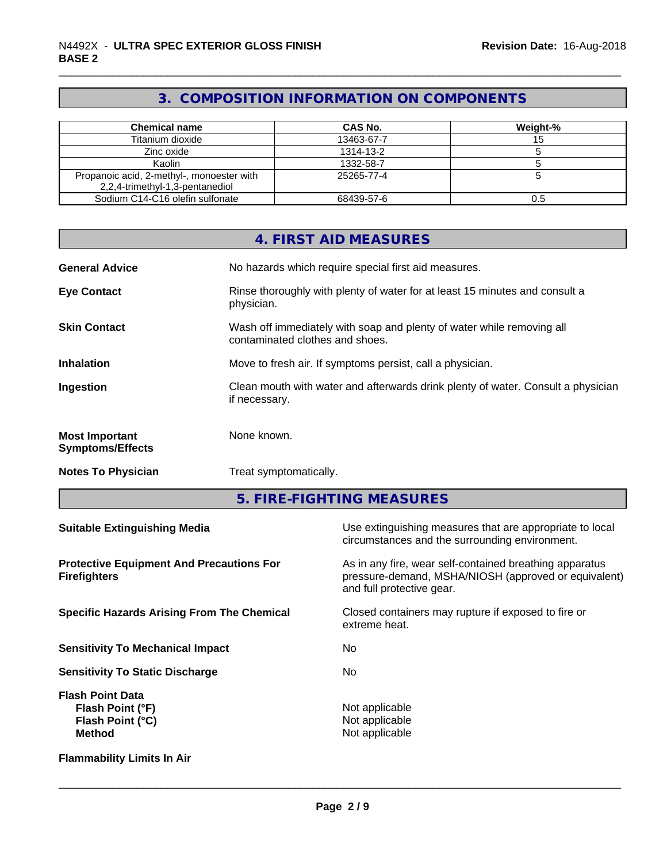# **3. COMPOSITION INFORMATION ON COMPONENTS**

| <b>Chemical name</b>                                                         | CAS No.    | Weight-% |
|------------------------------------------------------------------------------|------------|----------|
| Titanium dioxide                                                             | 13463-67-7 |          |
| Zinc oxide                                                                   | 1314-13-2  |          |
| Kaolin                                                                       | 1332-58-7  |          |
| Propanoic acid, 2-methyl-, monoester with<br>2,2,4-trimethyl-1,3-pentanediol | 25265-77-4 |          |
| Sodium C14-C16 olefin sulfonate                                              | 68439-57-6 | 0.5      |

|                                                                        |                                 | <b>4. FIRST AID MEASURES</b>                                                                                                                 |
|------------------------------------------------------------------------|---------------------------------|----------------------------------------------------------------------------------------------------------------------------------------------|
| <b>General Advice</b>                                                  |                                 | No hazards which require special first aid measures.                                                                                         |
| <b>Eye Contact</b>                                                     | physician.                      | Rinse thoroughly with plenty of water for at least 15 minutes and consult a                                                                  |
| <b>Skin Contact</b>                                                    | contaminated clothes and shoes. | Wash off immediately with soap and plenty of water while removing all                                                                        |
| <b>Inhalation</b>                                                      |                                 | Move to fresh air. If symptoms persist, call a physician.                                                                                    |
| Ingestion                                                              | if necessary.                   | Clean mouth with water and afterwards drink plenty of water. Consult a physician                                                             |
| <b>Most Important</b><br><b>Symptoms/Effects</b>                       | None known.                     |                                                                                                                                              |
| <b>Notes To Physician</b>                                              | Treat symptomatically.          |                                                                                                                                              |
|                                                                        |                                 | 5. FIRE-FIGHTING MEASURES                                                                                                                    |
| <b>Suitable Extinguishing Media</b>                                    |                                 | Use extinguishing measures that are appropriate to local<br>circumstances and the surrounding environment.                                   |
| <b>Protective Equipment And Precautions For</b><br><b>Firefighters</b> |                                 | As in any fire, wear self-contained breathing apparatus<br>pressure-demand, MSHA/NIOSH (approved or equivalent)<br>and full protective gear. |
| <b>Specific Hazards Arising From The Chemical</b>                      |                                 | Closed containers may rupture if exposed to fire or<br>extreme heat.                                                                         |
| <b>Sensitivity To Mechanical Impact</b>                                |                                 | No                                                                                                                                           |
| <b>Sensitivity To Static Discharge</b>                                 |                                 | No                                                                                                                                           |
| <b>Flash Point Data</b>                                                |                                 |                                                                                                                                              |

**Flammability Limits In Air**

Not applicable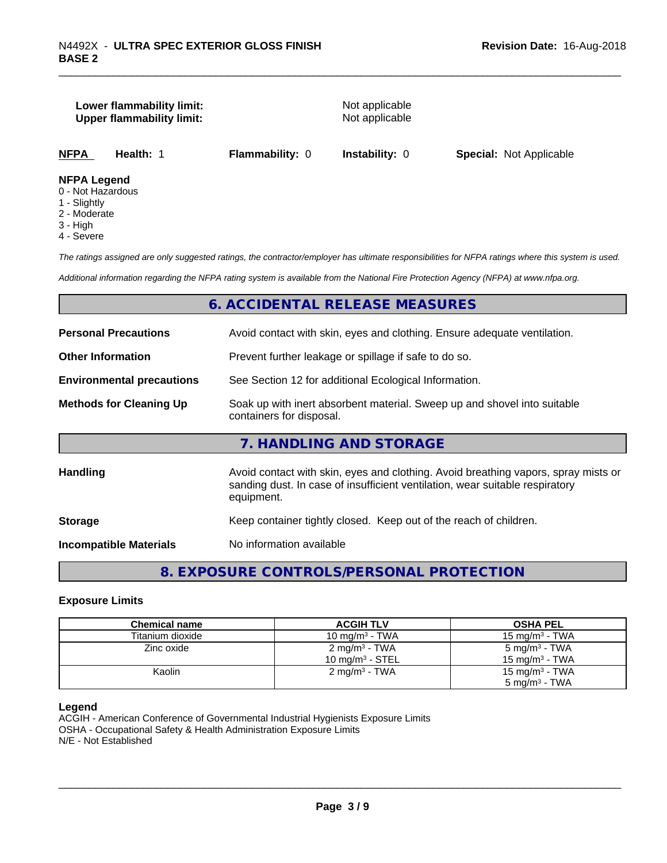#### **Lower flammability limit:** Not applicable **Upper flammability limit:** Not applicable

**NFPA Health:** 1 **Flammability:** 0 **Instability:** 0 **Special:** Not Applicable

#### **NFPA Legend**

- 0 Not Hazardous
- 1 Slightly
- 2 Moderate
- 3 High
- 4 Severe

*The ratings assigned are only suggested ratings, the contractor/employer has ultimate responsibilities for NFPA ratings where this system is used.*

*Additional information regarding the NFPA rating system is available from the National Fire Protection Agency (NFPA) at www.nfpa.org.*

#### **6. ACCIDENTAL RELEASE MEASURES**

| <b>Personal Precautions</b>      | Avoid contact with skin, eyes and clothing. Ensure adequate ventilation.                                                                                                         |
|----------------------------------|----------------------------------------------------------------------------------------------------------------------------------------------------------------------------------|
| <b>Other Information</b>         | Prevent further leakage or spillage if safe to do so.                                                                                                                            |
| <b>Environmental precautions</b> | See Section 12 for additional Ecological Information.                                                                                                                            |
| <b>Methods for Cleaning Up</b>   | Soak up with inert absorbent material. Sweep up and shovel into suitable<br>containers for disposal.                                                                             |
|                                  | 7. HANDLING AND STORAGE                                                                                                                                                          |
| <b>Handling</b>                  | Avoid contact with skin, eyes and clothing. Avoid breathing vapors, spray mists or<br>sanding dust. In case of insufficient ventilation, wear suitable respiratory<br>equipment. |
| <b>Storage</b>                   | Keep container tightly closed. Keep out of the reach of children.                                                                                                                |
| <b>Incompatible Materials</b>    | No information available                                                                                                                                                         |
|                                  |                                                                                                                                                                                  |

# **8. EXPOSURE CONTROLS/PERSONAL PROTECTION**

#### **Exposure Limits**

| <b>Chemical name</b> | <b>ACGIH TLV</b>           | <b>OSHA PEL</b>            |
|----------------------|----------------------------|----------------------------|
| Titanium dioxide     | 10 mg/m $3$ - TWA          | 15 mg/m $3$ - TWA          |
| Zinc oxide           | $2 \text{ mg/m}^3$ - TWA   | 5 mg/m <sup>3</sup> - TWA  |
|                      | $10 \text{ mg/m}^3$ - STEL | 15 mg/m $3$ - TWA          |
| Kaolin               | $2 \text{ mg/m}^3$ - TWA   | 15 mg/m <sup>3</sup> - TWA |
|                      |                            | $5 \text{ mg/m}^3$ - TWA   |

#### **Legend**

ACGIH - American Conference of Governmental Industrial Hygienists Exposure Limits OSHA - Occupational Safety & Health Administration Exposure Limits N/E - Not Established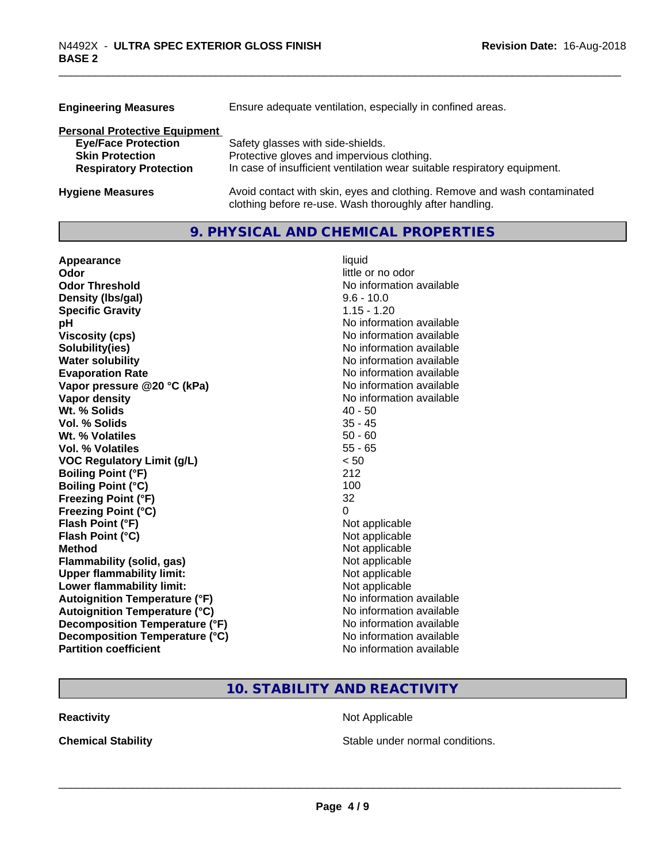| <b>Engineering Measures</b>          | Ensure adequate ventilation, especially in confined areas.                                                                          |  |  |
|--------------------------------------|-------------------------------------------------------------------------------------------------------------------------------------|--|--|
| <b>Personal Protective Equipment</b> |                                                                                                                                     |  |  |
| <b>Eye/Face Protection</b>           | Safety glasses with side-shields.                                                                                                   |  |  |
| <b>Skin Protection</b>               | Protective gloves and impervious clothing.                                                                                          |  |  |
| <b>Respiratory Protection</b>        | In case of insufficient ventilation wear suitable respiratory equipment.                                                            |  |  |
| <b>Hygiene Measures</b>              | Avoid contact with skin, eyes and clothing. Remove and wash contaminated<br>clothing before re-use. Wash thoroughly after handling. |  |  |

## **9. PHYSICAL AND CHEMICAL PROPERTIES**

| Appearance                           | liquid                   |
|--------------------------------------|--------------------------|
| Odor                                 | little or no odor        |
| <b>Odor Threshold</b>                | No information available |
| Density (Ibs/gal)                    | $9.6 - 10.0$             |
| <b>Specific Gravity</b>              | $1.15 - 1.20$            |
| рH                                   | No information available |
| <b>Viscosity (cps)</b>               | No information available |
| Solubility(ies)                      | No information available |
| <b>Water solubility</b>              | No information available |
| <b>Evaporation Rate</b>              | No information available |
| Vapor pressure @20 °C (kPa)          | No information available |
| Vapor density                        | No information available |
| Wt. % Solids                         | $40 - 50$                |
| Vol. % Solids                        | $35 - 45$                |
| Wt. % Volatiles                      | $50 - 60$                |
| Vol. % Volatiles                     | $55 - 65$                |
| <b>VOC Regulatory Limit (g/L)</b>    | < 50                     |
| <b>Boiling Point (°F)</b>            | 212                      |
| <b>Boiling Point (°C)</b>            | 100                      |
| <b>Freezing Point (°F)</b>           | 32                       |
| <b>Freezing Point (°C)</b>           | 0                        |
| Flash Point (°F)                     | Not applicable           |
| Flash Point (°C)                     | Not applicable           |
| <b>Method</b>                        | Not applicable           |
| Flammability (solid, gas)            | Not applicable           |
| <b>Upper flammability limit:</b>     | Not applicable           |
| Lower flammability limit:            | Not applicable           |
| <b>Autoignition Temperature (°F)</b> | No information available |
| <b>Autoignition Temperature (°C)</b> | No information available |
| Decomposition Temperature (°F)       | No information available |
| Decomposition Temperature (°C)       | No information available |
| <b>Partition coefficient</b>         | No information available |

# **10. STABILITY AND REACTIVITY**

**Reactivity Not Applicable Not Applicable** 

**Chemical Stability Chemical Stability** Stable under normal conditions.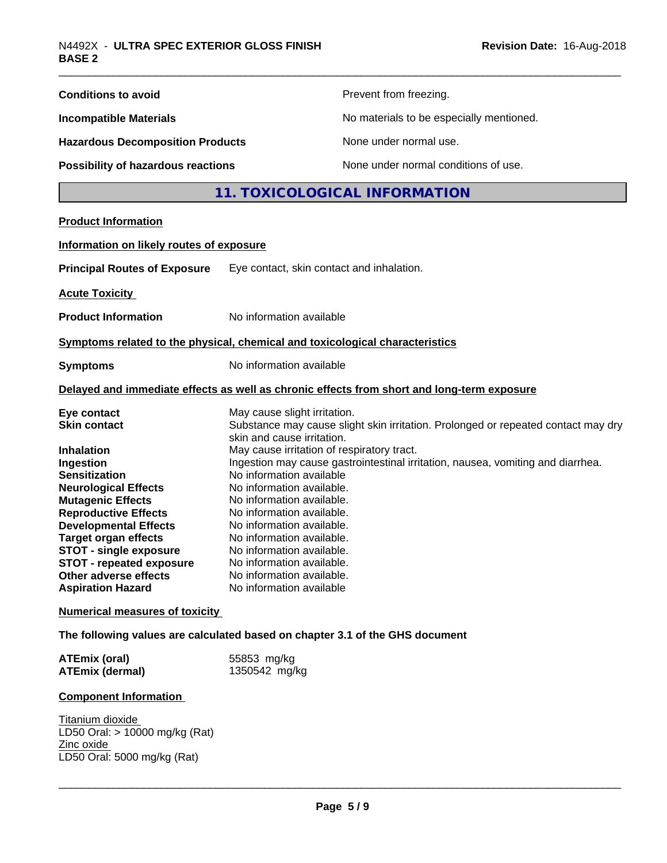| <b>Conditions to avoid</b>                                                                                                                                                                                                                                                                                                                                                                                              |                                                                                                                                                                                                                                                                                                                                                                                                         | Prevent from freezing.                                                                                                                                               |
|-------------------------------------------------------------------------------------------------------------------------------------------------------------------------------------------------------------------------------------------------------------------------------------------------------------------------------------------------------------------------------------------------------------------------|---------------------------------------------------------------------------------------------------------------------------------------------------------------------------------------------------------------------------------------------------------------------------------------------------------------------------------------------------------------------------------------------------------|----------------------------------------------------------------------------------------------------------------------------------------------------------------------|
| <b>Incompatible Materials</b>                                                                                                                                                                                                                                                                                                                                                                                           |                                                                                                                                                                                                                                                                                                                                                                                                         | No materials to be especially mentioned.                                                                                                                             |
| <b>Hazardous Decomposition Products</b>                                                                                                                                                                                                                                                                                                                                                                                 |                                                                                                                                                                                                                                                                                                                                                                                                         | None under normal use.                                                                                                                                               |
| Possibility of hazardous reactions                                                                                                                                                                                                                                                                                                                                                                                      |                                                                                                                                                                                                                                                                                                                                                                                                         | None under normal conditions of use.                                                                                                                                 |
|                                                                                                                                                                                                                                                                                                                                                                                                                         |                                                                                                                                                                                                                                                                                                                                                                                                         | 11. TOXICOLOGICAL INFORMATION                                                                                                                                        |
| <b>Product Information</b>                                                                                                                                                                                                                                                                                                                                                                                              |                                                                                                                                                                                                                                                                                                                                                                                                         |                                                                                                                                                                      |
| Information on likely routes of exposure                                                                                                                                                                                                                                                                                                                                                                                |                                                                                                                                                                                                                                                                                                                                                                                                         |                                                                                                                                                                      |
| <b>Principal Routes of Exposure</b>                                                                                                                                                                                                                                                                                                                                                                                     | Eye contact, skin contact and inhalation.                                                                                                                                                                                                                                                                                                                                                               |                                                                                                                                                                      |
| <b>Acute Toxicity</b>                                                                                                                                                                                                                                                                                                                                                                                                   |                                                                                                                                                                                                                                                                                                                                                                                                         |                                                                                                                                                                      |
| <b>Product Information</b>                                                                                                                                                                                                                                                                                                                                                                                              | No information available                                                                                                                                                                                                                                                                                                                                                                                |                                                                                                                                                                      |
| Symptoms related to the physical, chemical and toxicological characteristics                                                                                                                                                                                                                                                                                                                                            |                                                                                                                                                                                                                                                                                                                                                                                                         |                                                                                                                                                                      |
| <b>Symptoms</b>                                                                                                                                                                                                                                                                                                                                                                                                         | No information available                                                                                                                                                                                                                                                                                                                                                                                |                                                                                                                                                                      |
|                                                                                                                                                                                                                                                                                                                                                                                                                         |                                                                                                                                                                                                                                                                                                                                                                                                         | Delayed and immediate effects as well as chronic effects from short and long-term exposure                                                                           |
| Eye contact<br><b>Skin contact</b><br><b>Inhalation</b><br>Ingestion<br><b>Sensitization</b><br><b>Neurological Effects</b><br><b>Mutagenic Effects</b><br><b>Reproductive Effects</b><br><b>Developmental Effects</b><br><b>Target organ effects</b><br><b>STOT - single exposure</b><br><b>STOT - repeated exposure</b><br>Other adverse effects<br><b>Aspiration Hazard</b><br><b>Numerical measures of toxicity</b> | May cause slight irritation.<br>skin and cause irritation.<br>May cause irritation of respiratory tract.<br>No information available<br>No information available.<br>No information available.<br>No information available.<br>No information available.<br>No information available.<br>No information available.<br>No information available<br>No information available.<br>No information available | Substance may cause slight skin irritation. Prolonged or repeated contact may dry<br>Ingestion may cause gastrointestinal irritation, nausea, vomiting and diarrhea. |
| The following values are calculated based on chapter 3.1 of the GHS document                                                                                                                                                                                                                                                                                                                                            |                                                                                                                                                                                                                                                                                                                                                                                                         |                                                                                                                                                                      |
| <b>ATEmix (oral)</b><br><b>ATEmix (dermal)</b>                                                                                                                                                                                                                                                                                                                                                                          | 55853 mg/kg<br>1350542 mg/kg                                                                                                                                                                                                                                                                                                                                                                            |                                                                                                                                                                      |
| <b>Component Information</b><br>Titanium dioxide<br>LD50 Oral: > 10000 mg/kg (Rat)<br>Zinc oxide<br>LD50 Oral: 5000 mg/kg (Rat)                                                                                                                                                                                                                                                                                         |                                                                                                                                                                                                                                                                                                                                                                                                         |                                                                                                                                                                      |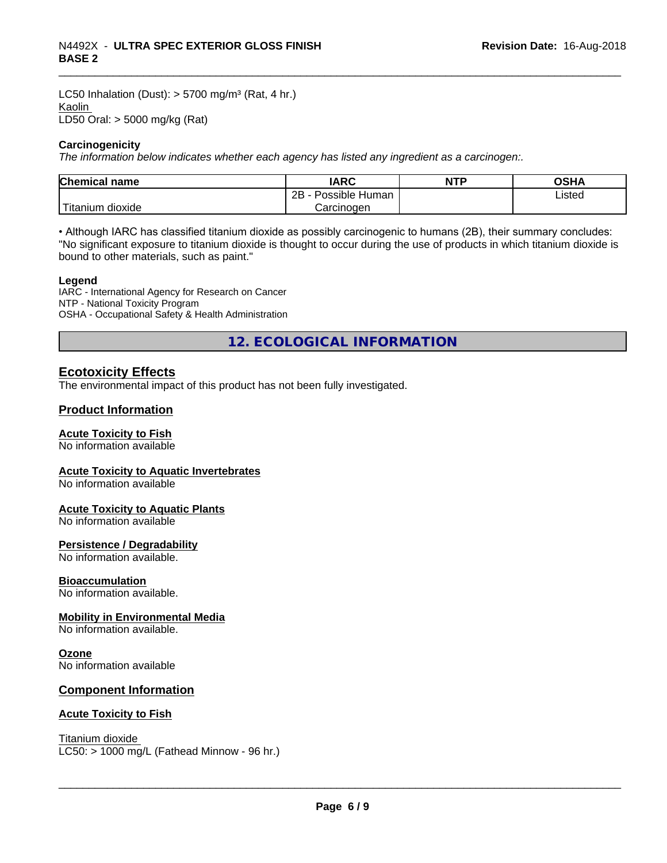LC50 Inhalation (Dust):  $> 5700$  mg/m<sup>3</sup> (Rat, 4 hr.) Kaolin LD50 Oral: > 5000 mg/kg (Rat)

#### **Carcinogenicity**

*The information below indicateswhether each agency has listed any ingredient as a carcinogen:.*

| <b>Chemical name</b> | <b>IARC</b>                    | <b>NTP</b> | ດເ⊔∧<br>UJNA   |
|----------------------|--------------------------------|------------|----------------|
|                      | .<br>2B<br>-<br>Possible Human |            | Listed<br>____ |
| Titanium<br>dioxide  | Carcinogen                     |            |                |

• Although IARC has classified titanium dioxide as possibly carcinogenic to humans (2B), their summary concludes: "No significant exposure to titanium dioxide is thought to occur during the use of products in which titanium dioxide is bound to other materials, such as paint."

#### **Legend**

IARC - International Agency for Research on Cancer NTP - National Toxicity Program OSHA - Occupational Safety & Health Administration

**12. ECOLOGICAL INFORMATION**

### **Ecotoxicity Effects**

The environmental impact of this product has not been fully investigated.

#### **Product Information**

#### **Acute Toxicity to Fish**

No information available

#### **Acute Toxicity to Aquatic Invertebrates**

No information available

#### **Acute Toxicity to Aquatic Plants**

No information available

#### **Persistence / Degradability**

No information available.

#### **Bioaccumulation**

No information available.

#### **Mobility in Environmental Media**

No information available.

#### **Ozone**

No information available

#### **Component Information**

#### **Acute Toxicity to Fish**

Titanium dioxide  $LC50:$  > 1000 mg/L (Fathead Minnow - 96 hr.)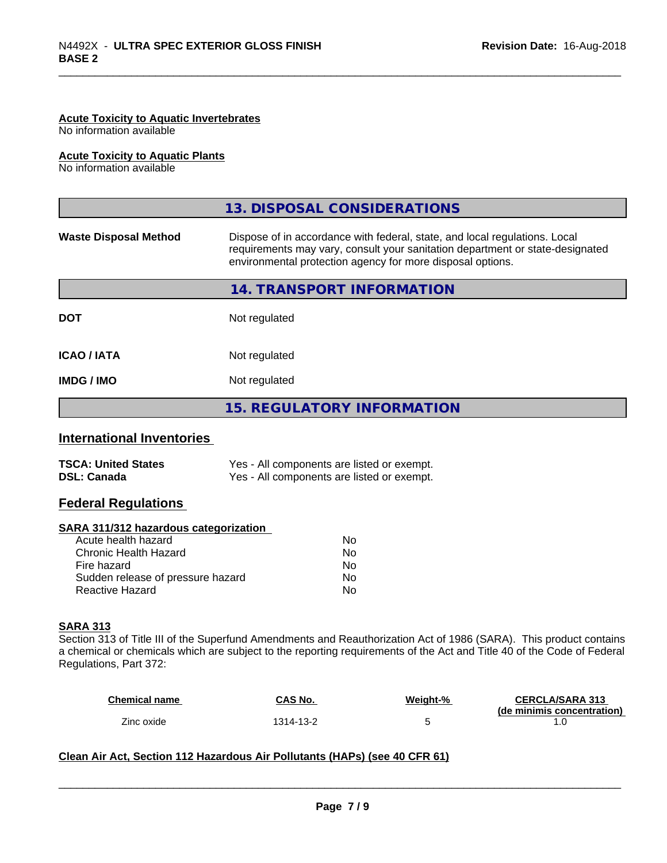#### **Acute Toxicity to Aquatic Invertebrates**

No information available

#### **Acute Toxicity to Aquatic Plants**

No information available

|                              | 13. DISPOSAL CONSIDERATIONS                                                                                                                                                                                               |
|------------------------------|---------------------------------------------------------------------------------------------------------------------------------------------------------------------------------------------------------------------------|
| <b>Waste Disposal Method</b> | Dispose of in accordance with federal, state, and local regulations. Local<br>requirements may vary, consult your sanitation department or state-designated<br>environmental protection agency for more disposal options. |
|                              | 14. TRANSPORT INFORMATION                                                                                                                                                                                                 |
| <b>DOT</b>                   | Not regulated                                                                                                                                                                                                             |
| <b>ICAO/IATA</b>             | Not regulated                                                                                                                                                                                                             |
| <b>IMDG/IMO</b>              | Not regulated                                                                                                                                                                                                             |
|                              | 15. REGULATORY INFORMATION                                                                                                                                                                                                |

#### **International Inventories**

| <b>TSCA: United States</b> | Yes - All components are listed or exempt. |
|----------------------------|--------------------------------------------|
| <b>DSL: Canada</b>         | Yes - All components are listed or exempt. |

#### **Federal Regulations**

#### **SARA 311/312 hazardous categorization**

| Acute health hazard               | No |
|-----------------------------------|----|
| Chronic Health Hazard             | Nο |
| Fire hazard                       | N٥ |
| Sudden release of pressure hazard | Nο |
| Reactive Hazard                   | N٥ |

#### **SARA 313**

Section 313 of Title III of the Superfund Amendments and Reauthorization Act of 1986 (SARA). This product contains a chemical or chemicals which are subject to the reporting requirements of the Act and Title 40 of the Code of Federal Regulations, Part 372:

| <b>Chemical name</b> | CAS No.   | Weight-% | <b>CERCLA/SARA 313</b>     |
|----------------------|-----------|----------|----------------------------|
|                      |           |          | (de minimis concentration) |
| Zinc oxide           | 1314-13-2 |          |                            |

 $\overline{\phantom{a}}$  ,  $\overline{\phantom{a}}$  ,  $\overline{\phantom{a}}$  ,  $\overline{\phantom{a}}$  ,  $\overline{\phantom{a}}$  ,  $\overline{\phantom{a}}$  ,  $\overline{\phantom{a}}$  ,  $\overline{\phantom{a}}$  ,  $\overline{\phantom{a}}$  ,  $\overline{\phantom{a}}$  ,  $\overline{\phantom{a}}$  ,  $\overline{\phantom{a}}$  ,  $\overline{\phantom{a}}$  ,  $\overline{\phantom{a}}$  ,  $\overline{\phantom{a}}$  ,  $\overline{\phantom{a}}$ 

#### **Clean Air Act,Section 112 Hazardous Air Pollutants (HAPs) (see 40 CFR 61)**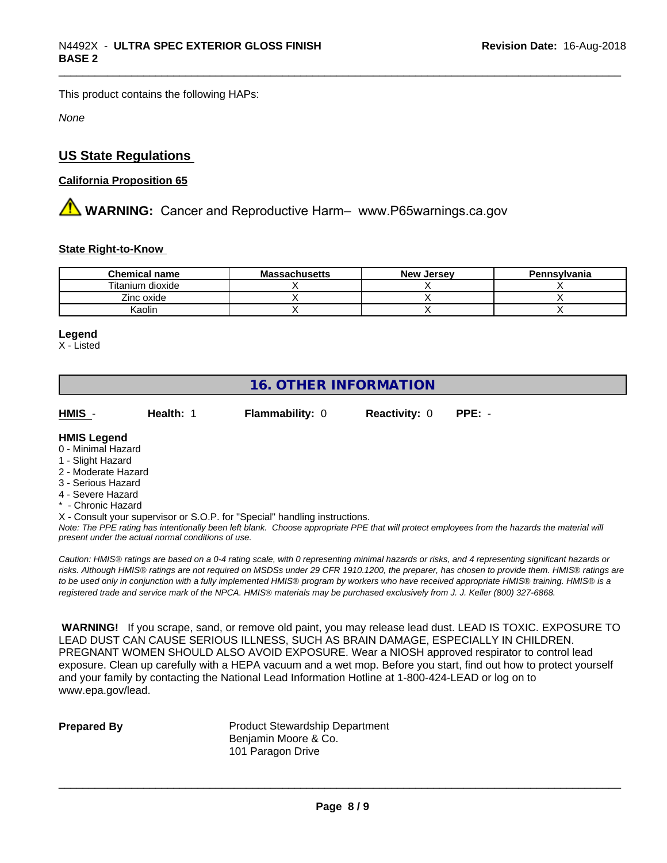This product contains the following HAPs:

*None*

# **US State Regulations**

#### **California Proposition 65**

**AN** WARNING: Cancer and Reproductive Harm– www.P65warnings.ca.gov

#### **State Right-to-Know**

| <b>Chemical name</b> | <b>Massachusetts</b> | <b>New Jersey</b> | Pennsylvania |
|----------------------|----------------------|-------------------|--------------|
| Titanium dioxide     |                      |                   |              |
| Zinc oxide           |                      |                   |              |
| Kaolin               |                      |                   |              |

#### **Legend**

X - Listed

# **16. OTHER INFORMATION**

**HMIS** - **Health:** 1 **Flammability:** 0 **Reactivity:** 0 **PPE:** -

#### **HMIS Legend**

- 0 Minimal Hazard
- 1 Slight Hazard
- 2 Moderate Hazard
- 3 Serious Hazard
- 4 Severe Hazard
- \* Chronic Hazard
- X Consult your supervisor or S.O.P. for "Special" handling instructions.

*Note: The PPE rating has intentionally been left blank. Choose appropriate PPE that will protect employees from the hazards the material will present under the actual normal conditions of use.*

*Caution: HMISÒ ratings are based on a 0-4 rating scale, with 0 representing minimal hazards or risks, and 4 representing significant hazards or risks. Although HMISÒ ratings are not required on MSDSs under 29 CFR 1910.1200, the preparer, has chosen to provide them. HMISÒ ratings are to be used only in conjunction with a fully implemented HMISÒ program by workers who have received appropriate HMISÒ training. HMISÒ is a registered trade and service mark of the NPCA. HMISÒ materials may be purchased exclusively from J. J. Keller (800) 327-6868.*

 **WARNING!** If you scrape, sand, or remove old paint, you may release lead dust. LEAD IS TOXIC. EXPOSURE TO LEAD DUST CAN CAUSE SERIOUS ILLNESS, SUCH AS BRAIN DAMAGE, ESPECIALLY IN CHILDREN. PREGNANT WOMEN SHOULD ALSO AVOID EXPOSURE.Wear a NIOSH approved respirator to control lead exposure. Clean up carefully with a HEPA vacuum and a wet mop. Before you start, find out how to protect yourself and your family by contacting the National Lead Information Hotline at 1-800-424-LEAD or log on to www.epa.gov/lead.

**Prepared By** Product Stewardship Department Benjamin Moore & Co. 101 Paragon Drive